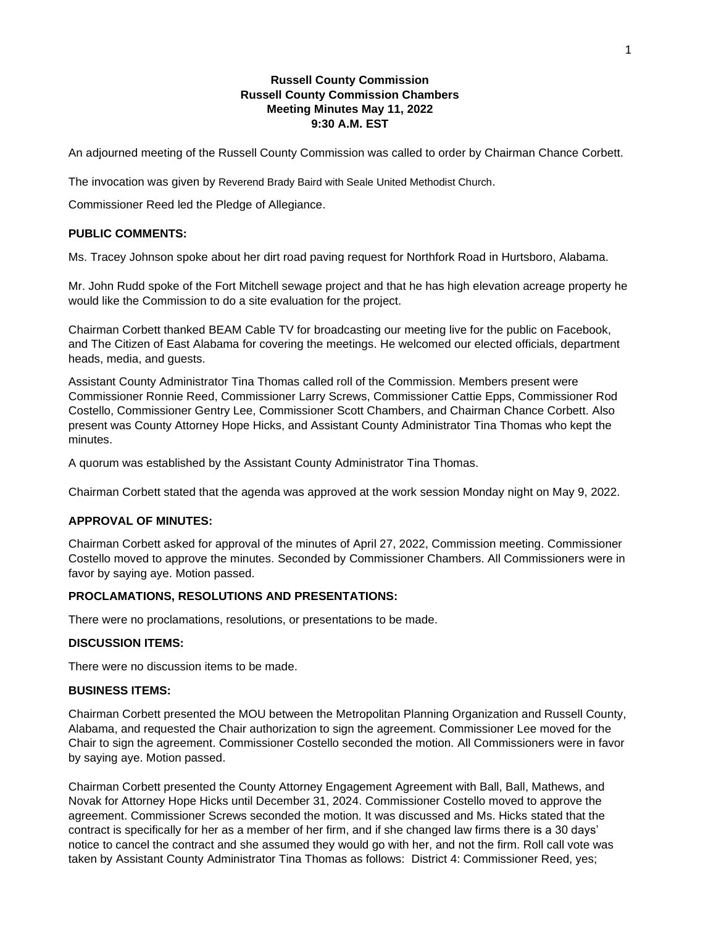# **Russell County Commission Russell County Commission Chambers Meeting Minutes May 11, 2022 9:30 A.M. EST**

An adjourned meeting of the Russell County Commission was called to order by Chairman Chance Corbett.

The invocation was given by Reverend Brady Baird with Seale United Methodist Church.

Commissioner Reed led the Pledge of Allegiance.

### **PUBLIC COMMENTS:**

Ms. Tracey Johnson spoke about her dirt road paving request for Northfork Road in Hurtsboro, Alabama.

Mr. John Rudd spoke of the Fort Mitchell sewage project and that he has high elevation acreage property he would like the Commission to do a site evaluation for the project.

Chairman Corbett thanked BEAM Cable TV for broadcasting our meeting live for the public on Facebook, and The Citizen of East Alabama for covering the meetings. He welcomed our elected officials, department heads, media, and guests.

Assistant County Administrator Tina Thomas called roll of the Commission. Members present were Commissioner Ronnie Reed, Commissioner Larry Screws, Commissioner Cattie Epps, Commissioner Rod Costello, Commissioner Gentry Lee, Commissioner Scott Chambers, and Chairman Chance Corbett. Also present was County Attorney Hope Hicks, and Assistant County Administrator Tina Thomas who kept the minutes.

A quorum was established by the Assistant County Administrator Tina Thomas.

Chairman Corbett stated that the agenda was approved at the work session Monday night on May 9, 2022.

## **APPROVAL OF MINUTES:**

Chairman Corbett asked for approval of the minutes of April 27, 2022, Commission meeting. Commissioner Costello moved to approve the minutes. Seconded by Commissioner Chambers. All Commissioners were in favor by saying aye. Motion passed.

## **PROCLAMATIONS, RESOLUTIONS AND PRESENTATIONS:**

There were no proclamations, resolutions, or presentations to be made.

### **DISCUSSION ITEMS:**

There were no discussion items to be made.

#### **BUSINESS ITEMS:**

Chairman Corbett presented the MOU between the Metropolitan Planning Organization and Russell County, Alabama, and requested the Chair authorization to sign the agreement. Commissioner Lee moved for the Chair to sign the agreement. Commissioner Costello seconded the motion. All Commissioners were in favor by saying aye. Motion passed.

Chairman Corbett presented the County Attorney Engagement Agreement with Ball, Ball, Mathews, and Novak for Attorney Hope Hicks until December 31, 2024. Commissioner Costello moved to approve the agreement. Commissioner Screws seconded the motion. It was discussed and Ms. Hicks stated that the contract is specifically for her as a member of her firm, and if she changed law firms there is a 30 days' notice to cancel the contract and she assumed they would go with her, and not the firm. Roll call vote was taken by Assistant County Administrator Tina Thomas as follows: District 4: Commissioner Reed, yes;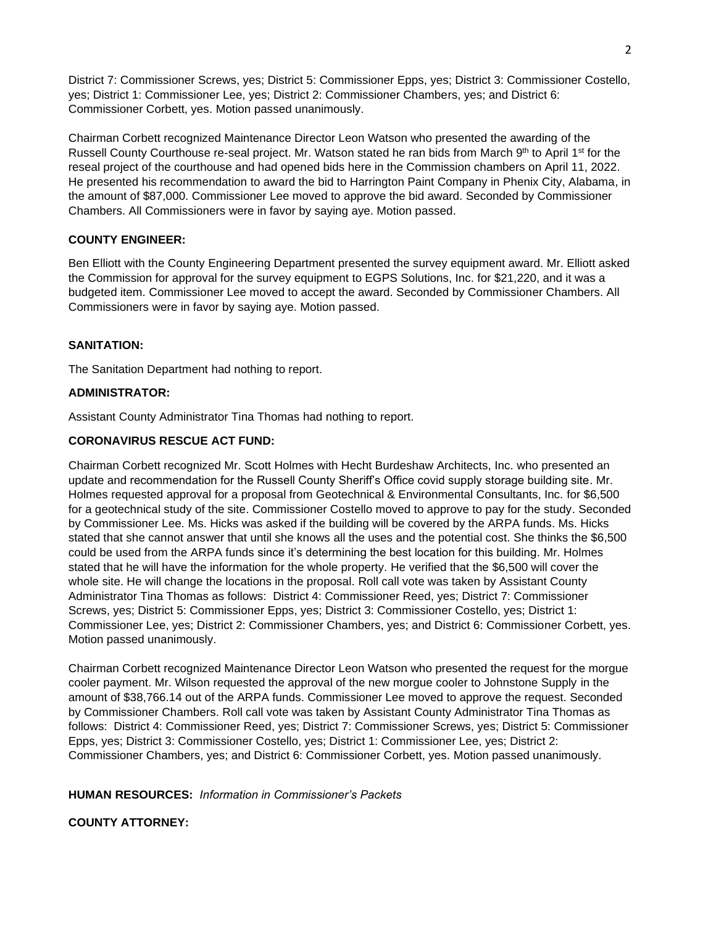District 7: Commissioner Screws, yes; District 5: Commissioner Epps, yes; District 3: Commissioner Costello, yes; District 1: Commissioner Lee, yes; District 2: Commissioner Chambers, yes; and District 6: Commissioner Corbett, yes. Motion passed unanimously.

Chairman Corbett recognized Maintenance Director Leon Watson who presented the awarding of the Russell County Courthouse re-seal project. Mr. Watson stated he ran bids from March 9<sup>th</sup> to April 1<sup>st</sup> for the reseal project of the courthouse and had opened bids here in the Commission chambers on April 11, 2022. He presented his recommendation to award the bid to Harrington Paint Company in Phenix City, Alabama, in the amount of \$87,000. Commissioner Lee moved to approve the bid award. Seconded by Commissioner Chambers. All Commissioners were in favor by saying aye. Motion passed.

# **COUNTY ENGINEER:**

Ben Elliott with the County Engineering Department presented the survey equipment award. Mr. Elliott asked the Commission for approval for the survey equipment to EGPS Solutions, Inc. for \$21,220, and it was a budgeted item. Commissioner Lee moved to accept the award. Seconded by Commissioner Chambers. All Commissioners were in favor by saying aye. Motion passed.

### **SANITATION:**

The Sanitation Department had nothing to report.

### **ADMINISTRATOR:**

Assistant County Administrator Tina Thomas had nothing to report.

### **CORONAVIRUS RESCUE ACT FUND:**

Chairman Corbett recognized Mr. Scott Holmes with Hecht Burdeshaw Architects, Inc. who presented an update and recommendation for the Russell County Sheriff's Office covid supply storage building site. Mr. Holmes requested approval for a proposal from Geotechnical & Environmental Consultants, Inc. for \$6,500 for a geotechnical study of the site. Commissioner Costello moved to approve to pay for the study. Seconded by Commissioner Lee. Ms. Hicks was asked if the building will be covered by the ARPA funds. Ms. Hicks stated that she cannot answer that until she knows all the uses and the potential cost. She thinks the \$6,500 could be used from the ARPA funds since it's determining the best location for this building. Mr. Holmes stated that he will have the information for the whole property. He verified that the \$6,500 will cover the whole site. He will change the locations in the proposal. Roll call vote was taken by Assistant County Administrator Tina Thomas as follows: District 4: Commissioner Reed, yes; District 7: Commissioner Screws, yes; District 5: Commissioner Epps, yes; District 3: Commissioner Costello, yes; District 1: Commissioner Lee, yes; District 2: Commissioner Chambers, yes; and District 6: Commissioner Corbett, yes. Motion passed unanimously.

Chairman Corbett recognized Maintenance Director Leon Watson who presented the request for the morgue cooler payment. Mr. Wilson requested the approval of the new morgue cooler to Johnstone Supply in the amount of \$38,766.14 out of the ARPA funds. Commissioner Lee moved to approve the request. Seconded by Commissioner Chambers. Roll call vote was taken by Assistant County Administrator Tina Thomas as follows: District 4: Commissioner Reed, yes; District 7: Commissioner Screws, yes; District 5: Commissioner Epps, yes; District 3: Commissioner Costello, yes; District 1: Commissioner Lee, yes; District 2: Commissioner Chambers, yes; and District 6: Commissioner Corbett, yes. Motion passed unanimously.

### **HUMAN RESOURCES:** *Information in Commissioner's Packets*

# **COUNTY ATTORNEY:**